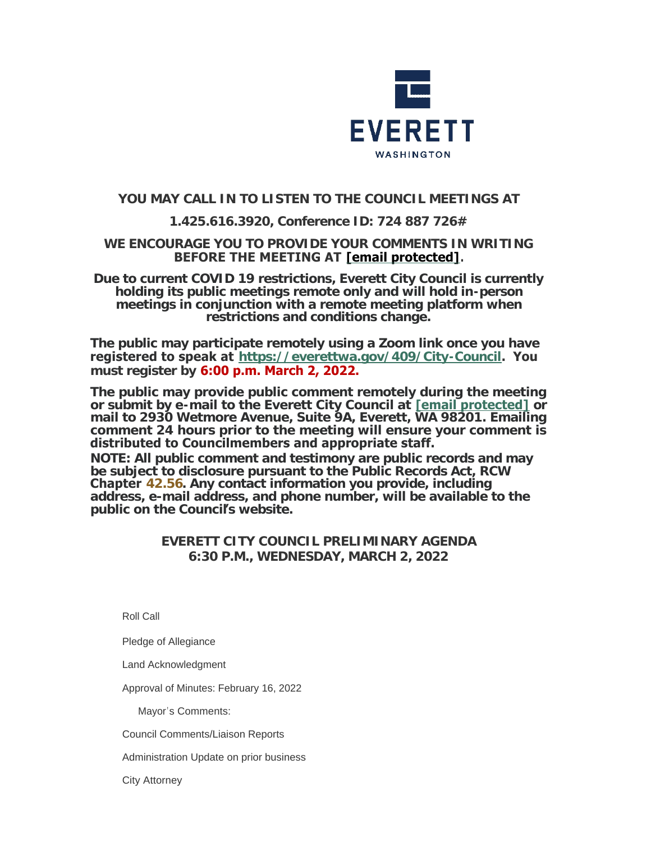

# **YOU MAY CALL IN TO LISTEN TO THE COUNCIL MEETINGS AT**

# **1.425.616.3920, Conference ID: 724 887 726#**

## **WE ENCOURAGE YOU TO PROVIDE YOUR COMMENTS IN WRITING BEFORE THE MEETING AT [\[email protected\]](https://www.everettwa.gov/cdn-cgi/l/email-protection#6f2c203a212c26232f2a392a3d2a3b3b382e41282039).**

**Due to current COVID 19 restrictions, Everett City Council is currently holding its public meetings remote only and will hold in-person meetings in conjunction with a remote meeting platform when restrictions and conditions change.**

**The public may participate remotely using a Zoom link once you have registered to speak at <https://everettwa.gov/409/City-Council>. You must register by 6:00 p.m. March 2, 2022.** 

**The public may provide public comment remotely during the meeting or submit by e-mail to the Everett City Council at [\[email protected\]](https://www.everettwa.gov/cdn-cgi/l/email-protection) or mail to 2930 Wetmore Avenue, Suite 9A, Everett, WA 98201. Emailing comment 24 hours prior to the meeting will ensure your comment is distributed to Councilmembers and appropriate staff.**  *NOTE: All public comment and testimony are public records and may be subject to disclosure pursuant to the Public Records Act, RCW*  **Chapter** *[42.56](https://apps.leg.wa.gov/rcw/default.aspx?cite=42.56). Any contact information you provide, including address, e-mail address, and phone number, will be available to the public on the Council***'***s website.*

## **EVERETT CITY COUNCIL PRELIMINARY AGENDA 6:30 P.M., WEDNESDAY, MARCH 2, 2022**

Roll Call

Pledge of Allegiance

Land Acknowledgment

Approval of Minutes: February 16, 2022

Mayor's Comments:

Council Comments/Liaison Reports

Administration Update on prior business

City Attorney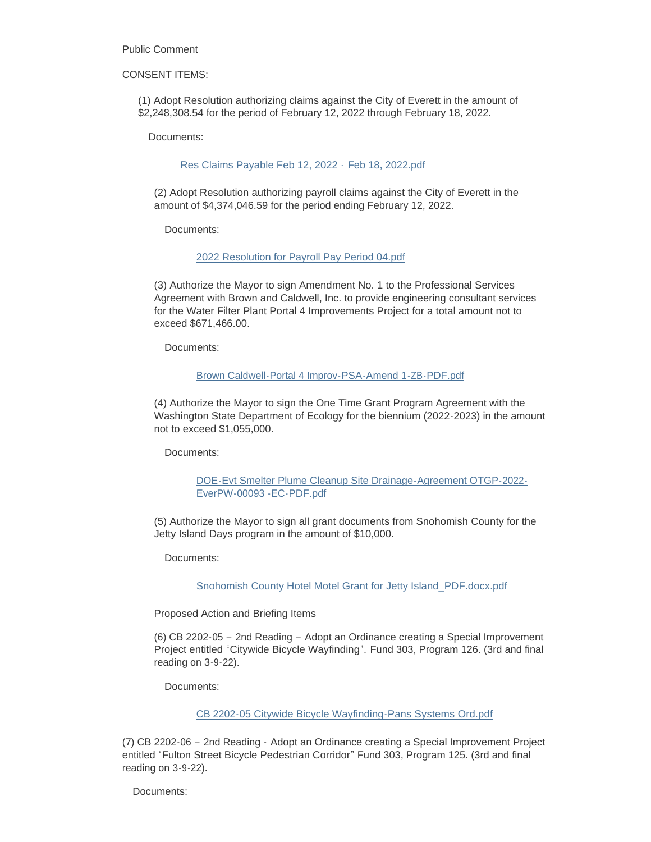Public Comment

#### CONSENT ITEMS:

(1) Adopt Resolution authorizing claims against the City of Everett in the amount of \$2,248,308.54 for the period of February 12, 2022 through February 18, 2022.

Documents:

### [Res Claims Payable Feb 12, 2022 -](https://www.everettwa.gov/AgendaCenter/ViewFile/Item/13457?fileID=79986) Feb 18, 2022.pdf

(2) Adopt Resolution authorizing payroll claims against the City of Everett in the amount of \$4,374,046.59 for the period ending February 12, 2022.

Documents:

### [2022 Resolution for Payroll Pay Period 04.pdf](https://www.everettwa.gov/AgendaCenter/ViewFile/Item/13458?fileID=79987)

(3) Authorize the Mayor to sign Amendment No. 1 to the Professional Services Agreement with Brown and Caldwell, Inc. to provide engineering consultant services for the Water Filter Plant Portal 4 Improvements Project for a total amount not to exceed \$671,466.00.

Documents:

#### [Brown Caldwell-Portal 4 Improv-PSA-Amend 1-ZB-PDF.pdf](https://www.everettwa.gov/AgendaCenter/ViewFile/Item/13459?fileID=79988)

(4) Authorize the Mayor to sign the One Time Grant Program Agreement with the Washington State Department of Ecology for the biennium (2022-2023) in the amount not to exceed \$1,055,000.

Documents:

[DOE-Evt Smelter Plume Cleanup Site Drainage-Agreement OTGP-2022-](https://www.everettwa.gov/AgendaCenter/ViewFile/Item/13460?fileID=79989) EverPW-00093 -EC-PDF.pdf

(5) Authorize the Mayor to sign all grant documents from Snohomish County for the Jetty Island Days program in the amount of \$10,000.

Documents:

[Snohomish County Hotel Motel Grant for Jetty Island\\_PDF.docx.pdf](https://www.everettwa.gov/AgendaCenter/ViewFile/Item/13461?fileID=79990)

Proposed Action and Briefing Items

(6) CB 2202-05 – 2nd Reading – Adopt an Ordinance creating a Special Improvement Project entitled "Citywide Bicycle Wayfinding". Fund 303, Program 126. (3rd and final reading on 3-9-22).

Documents:

[CB 2202-05 Citywide Bicycle Wayfinding-Pans Systems Ord.pdf](https://www.everettwa.gov/AgendaCenter/ViewFile/Item/13462?fileID=79991)

(7) CB 2202-06 – 2nd Reading - Adopt an Ordinance creating a Special Improvement Project entitled "Fulton Street Bicycle Pedestrian Corridor" Fund 303, Program 125. (3rd and final reading on 3-9-22).

Documents: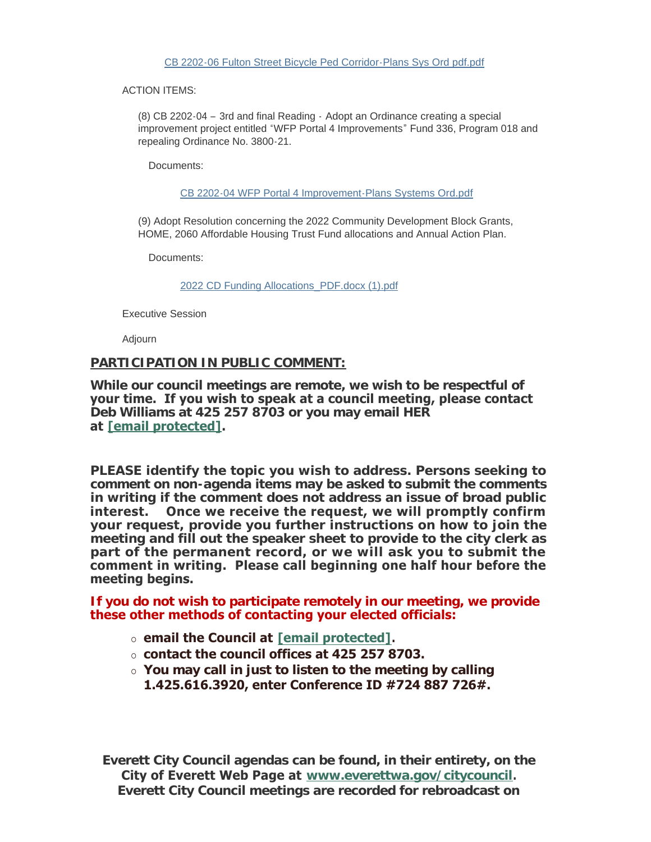ACTION ITEMS:

(8) CB 2202-04 – 3rd and final Reading - Adopt an Ordinance creating a special improvement project entitled "WFP Portal 4 Improvements" Fund 336, Program 018 and repealing Ordinance No. 3800-21.

Documents:

[CB 2202-04 WFP Portal 4 Improvement-Plans Systems Ord.pdf](https://www.everettwa.gov/AgendaCenter/ViewFile/Item/13464?fileID=79993)

(9) Adopt Resolution concerning the 2022 Community Development Block Grants, HOME, 2060 Affordable Housing Trust Fund allocations and Annual Action Plan.

Documents:

[2022 CD Funding Allocations\\_PDF.docx \(1\).pdf](https://www.everettwa.gov/AgendaCenter/ViewFile/Item/13465?fileID=79994)

Executive Session

Adjourn

### **PARTICIPATION IN PUBLIC COMMENT:**

**While our council meetings are remote, we wish to be respectful of your time. If you wish to speak at a council meeting, please contact Deb Williams at 425 257 8703 or you may email HER at [\[email protected\].](https://www.everettwa.gov/cdn-cgi/l/email-protection#294d5e4045454048445a694c5f4c5b4c5d5d5e48074e465f)** 

**PLEASE identify the topic you wish to address. Persons seeking to comment on non-agenda items may be asked to submit the comments in writing if the comment does not address an issue of broad public interest. Once we receive the request, we will promptly confirm your request, provide you further instructions on how to join the meeting and fill out the speaker sheet to provide to the city clerk as part of the permanent record, or we will ask you to submit the comment in writing. Please call beginning one half hour before the meeting begins.** 

**If you do not wish to participate remotely in our meeting, we provide these other methods of contacting your elected officials:** 

- ¡ **email the Council at [\[email protected\]](https://www.everettwa.gov/cdn-cgi/l/email-protection#51123e243f32383d113427342334252526307f363e27).**
- ¡ **contact the council offices at 425 257 8703.**
- ¡ **You may call in just to listen to the meeting by calling 1.425.616.3920, enter Conference ID #724 887 726#.**

**Everett City Council agendas can be found, in their entirety, on the City of Everett Web Page at [www.everettwa.gov/citycouncil](http://www.everettwa.gov/citycouncil). Everett City Council meetings are recorded for rebroadcast on**